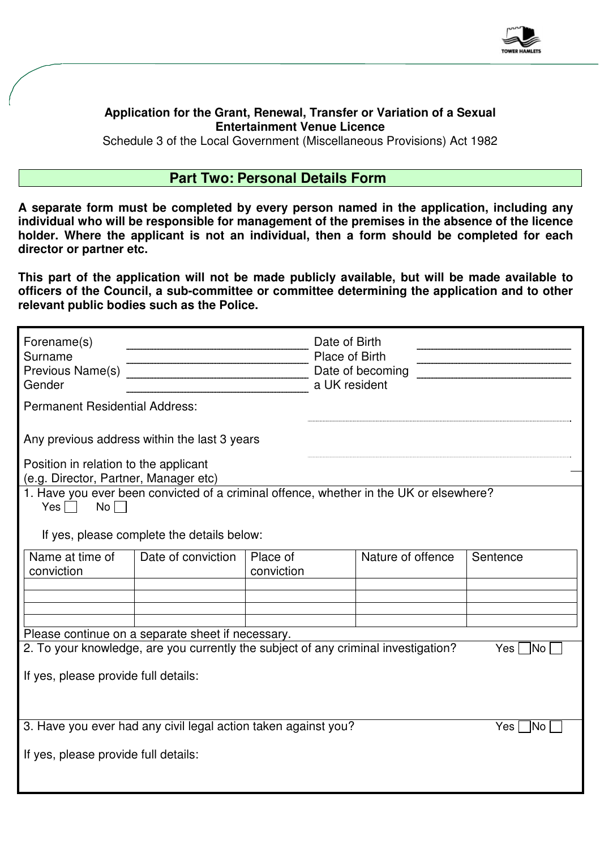

## **Application for the Grant, Renewal, Transfer or Variation of a Sexual Entertainment Venue Licence**

Schedule 3 of the Local Government (Miscellaneous Provisions) Act 1982

## **Part Two: Personal Details Form**

**A separate form must be completed by every person named in the application, including any individual who will be responsible for management of the premises in the absence of the licence holder. Where the applicant is not an individual, then a form should be completed for each director or partner etc.** 

**This part of the application will not be made publicly available, but will be made available to officers of the Council, a sub-committee or committee determining the application and to other relevant public bodies such as the Police.** 

| Forename(s)<br>Surname<br>Previous Name(s)<br>Gender                                                  |                    |                        |  | Date of Birth<br>Place of Birth<br>Date of becoming<br>a UK resident |              |  |
|-------------------------------------------------------------------------------------------------------|--------------------|------------------------|--|----------------------------------------------------------------------|--------------|--|
| <b>Permanent Residential Address:</b>                                                                 |                    |                        |  |                                                                      |              |  |
| Any previous address within the last 3 years                                                          |                    |                        |  |                                                                      |              |  |
| Position in relation to the applicant<br>(e.g. Director, Partner, Manager etc)                        |                    |                        |  |                                                                      |              |  |
| 1. Have you ever been convicted of a criminal offence, whether in the UK or elsewhere?<br>No<br>$Yes$ |                    |                        |  |                                                                      |              |  |
| If yes, please complete the details below:                                                            |                    |                        |  |                                                                      |              |  |
| Name at time of<br>conviction                                                                         | Date of conviction | Place of<br>conviction |  | Nature of offence                                                    | Sentence     |  |
|                                                                                                       |                    |                        |  |                                                                      |              |  |
|                                                                                                       |                    |                        |  |                                                                      |              |  |
| Please continue on a separate sheet if necessary.                                                     |                    |                        |  |                                                                      |              |  |
| 2. To your knowledge, are you currently the subject of any criminal investigation?<br>Yes   No        |                    |                        |  |                                                                      |              |  |
| If yes, please provide full details:                                                                  |                    |                        |  |                                                                      |              |  |
| 3. Have you ever had any civil legal action taken against you?                                        |                    |                        |  |                                                                      | Yes  <br> No |  |
| If yes, please provide full details:                                                                  |                    |                        |  |                                                                      |              |  |
|                                                                                                       |                    |                        |  |                                                                      |              |  |